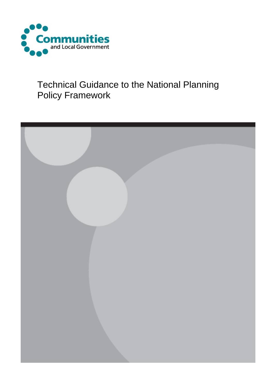

# Technical Guidance to the National Planning Policy Framework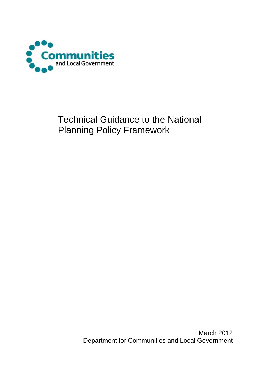

# Technical Guidance to the National Planning Policy Framework

March 2012 Department for Communities and Local Government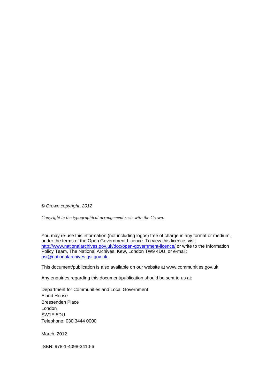*© Crown copyright, 2012* 

*Copyright in the typographical arrangement rests with the Crown.*

You may re-use this information (not including logos) free of charge in any format or medium, under the terms of the Open Government Licence. To view this licence, visit <http://www.nationalarchives.gov.uk/doc/open-government-licence/> or write to the Information Policy Team, The National Archives, Kew, London TW9 4DU, or e-mail: [psi@nationalarchives.gsi.gov.uk.](mailto:psi@nationalarchives.gsi.gov.uk)

This document/publication is also available on our website at www.communities.gov.uk

Any enquiries regarding this document/publication should be sent to us at:

Department for Communities and Local Government Eland House Bressenden Place London SW1E 5DU Telephone: 030 3444 0000

March, 2012

ISBN: 978-1-4098-3410-6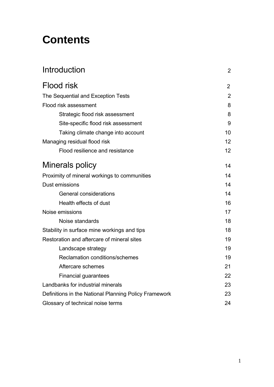# **Contents**

| Introduction                                          | $\overline{2}$ |
|-------------------------------------------------------|----------------|
| Flood risk                                            | $\overline{2}$ |
| The Sequential and Exception Tests                    | $\overline{2}$ |
| Flood risk assessment                                 | 8              |
| Strategic flood risk assessment                       | 8              |
| Site-specific flood risk assessment                   | 9              |
| Taking climate change into account                    | 10             |
| Managing residual flood risk                          | 12             |
| Flood resilience and resistance                       | 12             |
| Minerals policy                                       | 14             |
| Proximity of mineral workings to communities          | 14             |
| Dust emissions                                        | 14             |
| <b>General considerations</b>                         | 14             |
| Health effects of dust                                | 16             |
| Noise emissions                                       | 17             |
| Noise standards                                       | 18             |
| Stability in surface mine workings and tips           | 18             |
| Restoration and aftercare of mineral sites            | 19             |
| Landscape strategy                                    | 19             |
| Reclamation conditions/schemes                        | 19             |
| Aftercare schemes                                     | 21             |
| <b>Financial guarantees</b>                           | 22             |
| Landbanks for industrial minerals                     | 23             |
| Definitions in the National Planning Policy Framework | 23             |
| Glossary of technical noise terms                     | 24             |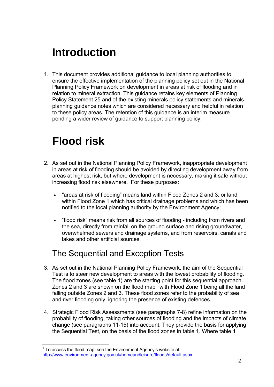# **Introduction**

1. This document provides additional guidance to local planning authorities to ensure the effective implementation of the planning policy set out in the National Planning Policy Framework on development in areas at risk of flooding and in relation to mineral extraction. This guidance retains key elements of Planning Policy Statement 25 and of the existing minerals policy statements and minerals planning guidance notes which are considered necessary and helpful in relation to these policy areas. The retention of this guidance is an interim measure pending a wider review of guidance to support planning policy.

# **Flood risk**

- 2. As set out in the National Planning Policy Framework, inappropriate development in areas at risk of flooding should be avoided by directing development away from areas at highest risk, but where development is necessary, making it safe without increasing flood risk elsewhere. For these purposes:
	- "areas at risk of flooding" means land within Flood Zones 2 and 3; or land within Flood Zone 1 which has critical drainage problems and which has been notified to the local planning authority by the Environment Agency;
	- "flood risk" means risk from all sources of flooding including from rivers and the sea, directly from rainfall on the ground surface and rising groundwater, overwhelmed sewers and drainage systems, and from reservoirs, canals and lakes and other artificial sources.

# The Sequential and Exception Tests

- 3. As set out in the National Planning Policy Framework, the aim of the Sequential Test is to steer new development to areas with the lowest probability of flooding. The flood zones (see table 1) are the starting point for this sequential approach. Zones 2 and 3 are shown on the flood map<sup>[1](#page-4-0)</sup> with Flood Zone 1 being all the land falling outside Zones 2 and 3. These flood zones refer to the probability of sea and river flooding only, ignoring the presence of existing defences.
- 4. Strategic Flood Risk Assessments (see paragraphs 7-8) refine information on the probability of flooding, taking other sources of flooding and the impacts of climate change (see paragraphs 11-15) into account. They provide the basis for applying the Sequential Test, on the basis of the flood zones in table 1. Where table 1

<span id="page-4-0"></span> $\overline{a}$  $1$  To access the flood map, see the Environment Agency's website at: <http://www.environment-agency.gov.uk/homeandleisure/floods/default.aspx>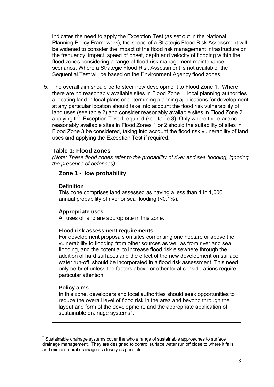indicates the need to apply the Exception Test (as set out in the National Planning Policy Framework), the scope of a Strategic Flood Risk Assessment will be widened to consider the impact of the flood risk management infrastructure on the frequency, impact, speed of onset, depth and velocity of flooding within the flood zones considering a range of flood risk management maintenance scenarios. Where a Strategic Flood Risk Assessment is not available, the Sequential Test will be based on the Environment Agency flood zones.

5. The overall aim should be to steer new development to Flood Zone 1. Where there are no reasonably available sites in Flood Zone 1, local planning authorities allocating land in local plans or determining planning applications for development at any particular location should take into account the flood risk vulnerability of land uses (see table 2) and consider reasonably available sites in Flood Zone 2, applying the Exception Test if required (see table 3). Only where there are no reasonably available sites in Flood Zones 1 or 2 should the suitability of sites in Flood Zone 3 be considered, taking into account the flood risk vulnerability of land uses and applying the Exception Test if required.

#### **Table 1: Flood zones**

*(Note: These flood zones refer to the probability of river and sea flooding, ignoring the presence of defences)*

#### **Zone 1 - low probability**

#### **Definition**

This zone comprises land assessed as having a less than 1 in 1,000 annual probability of river or sea flooding (<0.1%).

#### **Appropriate uses**

All uses of land are appropriate in this zone.

#### **Flood risk assessment requirements**

For development proposals on sites comprising one hectare or above the vulnerability to flooding from other sources as well as from river and sea flooding, and the potential to increase flood risk elsewhere through the addition of hard surfaces and the effect of the new development on surface water run-off, should be incorporated in a flood risk assessment. This need only be brief unless the factors above or other local considerations require particular attention.

#### **Policy aims**

 $\overline{a}$ 

In this zone, developers and local authorities should seek opportunities to reduce the overall level of flood risk in the area and beyond through the layout and form of the development, and the appropriate application of sustainable drainage systems $^2$  $^2$ .

<span id="page-5-0"></span> $2$  Sustainable drainage systems cover the whole range of sustainable approaches to surface drainage management. They are designed to control surface water run off close to where it falls and mimic natural drainage as closely as possible.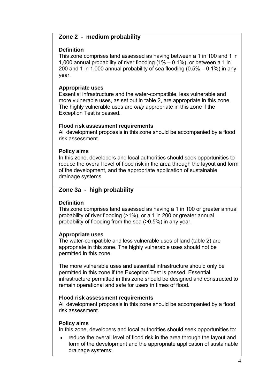#### **Zone 2 - medium probability**

#### **Definition**

This zone comprises land assessed as having between a 1 in 100 and 1 in 1,000 annual probability of river flooding (1% – 0.1%), or between a 1 in 200 and 1 in 1,000 annual probability of sea flooding  $(0.5% - 0.1%)$  in any year.

#### **Appropriate uses**

Essential infrastructure and the water-compatible, less vulnerable and more vulnerable uses, as set out in table 2, are appropriate in this zone. The highly vulnerable uses are *only* appropriate in this zone if the Exception Test is passed.

#### **Flood risk assessment requirements**

All development proposals in this zone should be accompanied by a flood risk assessment.

#### **Policy aims**

In this zone, developers and local authorities should seek opportunities to reduce the overall level of flood risk in the area through the layout and form of the development, and the appropriate application of sustainable drainage systems.

### **Zone 3a - high probability**

#### **Definition**

This zone comprises land assessed as having a 1 in 100 or greater annual probability of river flooding (>1%), or a 1 in 200 or greater annual probability of flooding from the sea (>0.5%) in any year.

#### **Appropriate uses**

The water-compatible and less vulnerable uses of land (table 2) are appropriate in this zone. The highly vulnerable uses should not be permitted in this zone.

The more vulnerable uses and essential infrastructure should only be permitted in this zone if the Exception Test is passed. Essential infrastructure permitted in this zone should be designed and constructed to remain operational and safe for users in times of flood.

#### **Flood risk assessment requirements**

All development proposals in this zone should be accompanied by a flood risk assessment.

#### **Policy aims**

In this zone, developers and local authorities should seek opportunities to:

• reduce the overall level of flood risk in the area through the layout and form of the development and the appropriate application of sustainable drainage systems;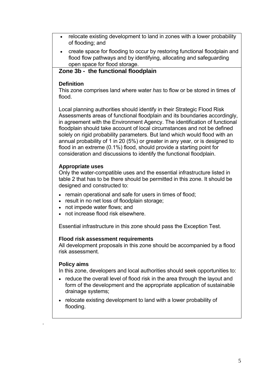- relocate existing development to land in zones with a lower probability of flooding; and
- create space for flooding to occur by restoring functional floodplain and flood flow pathways and by identifying, allocating and safeguarding open space for flood storage.

### **Zone 3b - the functional floodplain**

#### **Definition**

This zone comprises land where water *has* to flow or be stored in times of flood.

Local planning authorities should identify in their Strategic Flood Risk Assessments areas of functional floodplain and its boundaries accordingly, in agreement with the Environment Agency. The identification of functional floodplain should take account of local circumstances and not be defined solely on rigid probability parameters. But land which would flood with an annual probability of 1 in 20 (5%) or greater in any year, or is designed to flood in an extreme (0.1%) flood, should provide a starting point for consideration and discussions to identify the functional floodplain.

#### **Appropriate uses**

Only the water-compatible uses and the essential infrastructure listed in table 2 that has to be there should be permitted in this zone. It should be designed and constructed to:

- remain operational and safe for users in times of flood;
- result in no net loss of floodplain storage:
- not impede water flows; and
- not increase flood risk elsewhere.

Essential infrastructure in this zone should pass the Exception Test.

#### **Flood risk assessment requirements**

All development proposals in this zone should be accompanied by a flood risk assessment.

#### **Policy aims**

.

In this zone, developers and local authorities should seek opportunities to:

- reduce the overall level of flood risk in the area through the layout and form of the development and the appropriate application of sustainable drainage systems;
- relocate existing development to land with a lower probability of flooding.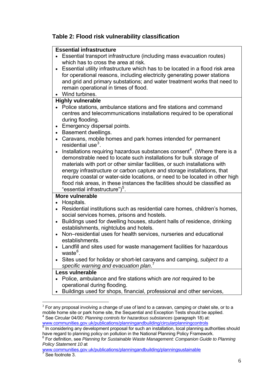### **Table 2: Flood risk vulnerability classification**

#### **Essential infrastructure**

- Essential transport infrastructure (including mass evacuation routes) which has to cross the area at risk.
- Essential utility infrastructure which has to be located in a flood risk area for operational reasons, including electricity generating power stations and grid and primary substations; and water treatment works that need to remain operational in times of flood.
- Wind turbines.

#### **Highly vulnerable**

- Police stations, ambulance stations and fire stations and command centres and telecommunications installations required to be operational during flooding.
- Emergency dispersal points.
- Basement dwellings.
- Caravans, mobile homes and park homes intended for permanent residential use $^3$  $^3$ .
- Installations requiring hazardous substances consent<sup>[4](#page-8-1)</sup>. (Where there is a demonstrable need to locate such installations for bulk storage of materials with port or other similar facilities, or such installations with energy infrastructure or carbon capture and storage installations, that require coastal or water-side locations, or need to be located in other high flood risk areas, in these instances the facilities should be classified as "essential infrastructure")<sup>[5](#page-8-2)</sup>.

#### **More vulnerable**

- Hospitals.
- Residential institutions such as residential care homes, children's homes, social services homes, prisons and hostels.
- Buildings used for dwelling houses, student halls of residence, drinking establishments, nightclubs and hotels.
- Non–residential uses for health services, nurseries and educational establishments.
- Landfill and sites used for waste management facilities for hazardous waste<sup>[6](#page-8-3)</sup>.
- Sites used for holiday or short-let caravans and camping, *subject to a specific warning and evacuation plan*. [7](#page-8-4)

#### **Less vulnerable**

 $\overline{a}$ 

- Police, ambulance and fire stations which are *not* required to be operational during flooding.
- Buildings used for shops, financial, professional and other services,

<span id="page-8-1"></span>[www.communities.gov.uk/publications/planningandbuilding/circularplanningcontrols](http://www.communities.gov.uk/publications/planningandbuilding/circularplanningcontrols) 5 In considering on video change to see the second states in the considering on video change to see the considering on video change to see th

<span id="page-8-0"></span> $3$  For any proposal involving a change of use of land to a caravan, camping or chalet site, or to a mobile home site or park home site, the Sequential and Exception Tests should be applied. See Circular 04/00: *Planning controls for hazardous substances* (paragraph 18) at:

<span id="page-8-2"></span>In considering any development proposal for such an installation, local planning authorities should have regard to planning policy on pollution in the National Planning Policy Framework.

<span id="page-8-3"></span><sup>6</sup> For definition, see *Planning for Sustainable Waste Management: Companion Guide to Planning Policy Statement 10* at

<span id="page-8-4"></span>[www.communities.gov.uk/publications/planningandbuilding/planningsustainable](http://www.communities.gov.uk/publications/planningandbuilding/planningsustainable) 7 See footnote 3.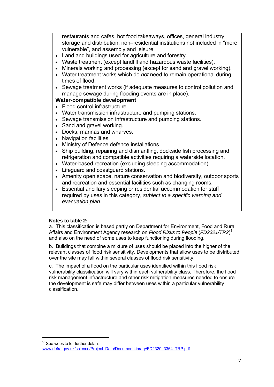restaurants and cafes, hot food takeaways, offices, general industry, storage and distribution, non–residential institutions not included in "more vulnerable", and assembly and leisure.

- Land and buildings used for agriculture and forestry.
- Waste treatment (except landfill and hazardous waste facilities).
- Minerals working and processing (except for sand and gravel working).
- Water treatment works which do *not* need to remain operational during times of flood.
- Sewage treatment works (if adequate measures to control pollution and manage sewage during flooding events are in place).

#### **Water-compatible development**

- Flood control infrastructure.
- Water transmission infrastructure and pumping stations.
- Sewage transmission infrastructure and pumping stations.
- Sand and gravel working.
- Docks, marinas and wharves.
- Navigation facilities.
- Ministry of Defence defence installations.
- Ship building, repairing and dismantling, dockside fish processing and refrigeration and compatible activities requiring a waterside location.
- Water-based recreation (excluding sleeping accommodation).
- Lifeguard and coastguard stations.
- Amenity open space, nature conservation and biodiversity, outdoor sports and recreation and essential facilities such as changing rooms.
- Essential ancillary sleeping or residential accommodation for staff required by uses in this category, *subject to a specific warning and evacuation plan*.

#### **Notes to table 2:**

 $\overline{a}$ 

a. This classification is based partly on Department for Environment, Food and Rural Affairs and Environment Agency research on *Flood Risks to People* (*FD2321/TR2*) [8](#page-9-0) and also on the need of some uses to keep functioning during flooding.

b. Buildings that combine a mixture of uses should be placed into the higher of the relevant classes of flood risk sensitivity. Developments that allow uses to be distributed over the site may fall within several classes of flood risk sensitivity.

c. The impact of a flood on the particular uses identified within this flood risk vulnerability classification will vary within each vulnerability class. Therefore, the flood risk management infrastructure and other risk mitigation measures needed to ensure the development is safe may differ between uses within a particular vulnerability classification.

<span id="page-9-0"></span><sup>8</sup> See website for further details. [www.defra.gov.uk/science/Project\\_Data/DocumentLibrary/FD2320\\_3364\\_TRP.pdf](http://www.defra.gov.uk/science/Project_Data/DocumentLibrary/FD2320_3364_TRP.pdf)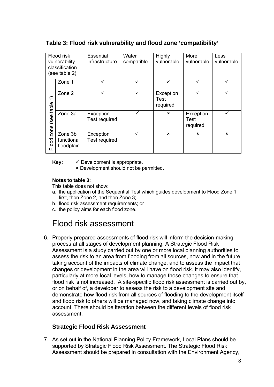### **Table 3: Flood risk vulnerability and flood zone 'compatibility'**

|                         | Flood risk<br>vulnerability<br>classification<br>(see table 2) | <b>Essential</b><br>infrastructure | Water<br>compatible | Highly<br>vulnerable          | More<br>vulnerable                   | Less<br>vulnerable |
|-------------------------|----------------------------------------------------------------|------------------------------------|---------------------|-------------------------------|--------------------------------------|--------------------|
|                         | Zone 1                                                         |                                    | ✓                   | ✓                             | ✓                                    |                    |
| $\widehat{\mathcal{L}}$ | Zone 2                                                         | ✓                                  | $\checkmark$        | Exception<br>Test<br>required | ✓                                    |                    |
| (see table              | Zone 3a                                                        | Exception<br><b>Test required</b>  |                     | $\mathbf{x}$                  | Exception<br><b>Test</b><br>required |                    |
| zone<br>Flood           | Zone 3b<br>functional<br>floodplain                            | Exception<br>Test required         | ✓                   | $\boldsymbol{\mathsf{x}}$     | $\mathbf x$                          | $\mathbf x$        |

**Key:**  $\checkmark$  Development is appropriate.

8 Development should not be permitted.

#### **Notes to table 3:**

This table does not show:

- a. the application of the Sequential Test which guides development to Flood Zone 1 first, then Zone 2, and then Zone 3;
- b. flood risk assessment requirements; or
- c. the policy aims for each flood zone.

# Flood risk assessment

6. Properly prepared assessments of flood risk will inform the decision-making process at all stages of development planning. A Strategic Flood Risk Assessment is a study carried out by one or more local planning authorities to assess the risk to an area from flooding from all sources, now and in the future, taking account of the impacts of climate change, and to assess the impact that changes or development in the area will have on flood risk. It may also identify, particularly at more local levels, how to manage those changes to ensure that flood risk is not increased. A site-specific flood risk assessment is carried out by, or on behalf of, a developer to assess the risk to a development site and demonstrate how flood risk from all sources of flooding to the development itself and flood risk to others will be managed now, and taking climate change into account. There should be iteration between the different levels of flood risk assessment.

### **Strategic Flood Risk Assessment**

7. As set out in the National Planning Policy Framework, Local Plans should be supported by Strategic Flood Risk Assessment. The Strategic Flood Risk Assessment should be prepared in consultation with the Environment Agency,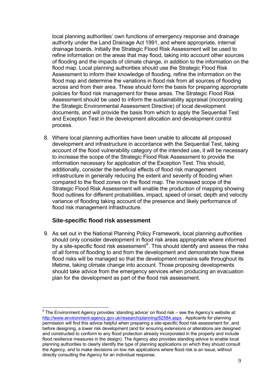local planning authorities' own functions of emergency response and drainage authority under the Land Drainage Act 1991, and where appropriate, internal drainage boards. Initially the Strategic Flood Risk Assessment will be used to refine information on the areas that may flood, taking into account other sources of flooding and the impacts of climate change, in addition to the information on the flood map. Local planning authorities should use the Strategic Flood Risk Assessment to inform their knowledge of flooding, refine the information on the flood map and determine the variations in flood risk from all sources of flooding across and from their area. These should form the basis for preparing appropriate policies for flood risk management for these areas. The Strategic Flood Risk Assessment should be used to inform the sustainability appraisal (incorporating the Strategic Environmental Assessment Directive) of local development documents, and will provide the basis from which to apply the Sequential Test and Exception Test in the development allocation and development control process.

8. Where local planning authorities have been unable to allocate all proposed development and infrastructure in accordance with the Sequential Test, taking account of the flood vulnerability category of the intended use, it will be necessary to increase the scope of the Strategic Flood Risk Assessment to provide the information necessary for application of the Exception Test. This should, additionally, consider the beneficial effects of flood risk management infrastructure in generally reducing the extent and severity of flooding when compared to the flood zones on the flood map. The increased scope of the Strategic Flood Risk Assessment will enable the production of mapping showing flood outlines for different probabilities, impact, speed of onset, depth and velocity variance of flooding taking account of the presence and likely performance of flood risk management infrastructure.

#### **Site-specific flood risk assessment**

9. As set out in the National Planning Policy Framework, local planning authorities should only consider development in flood risk areas appropriate where informed by a site-specific flood risk assessment $9$ . This should identify and assess the risks of all forms of flooding to and from the development and demonstrate how these flood risks will be managed so that the development remains safe throughout its lifetime, taking climate change into account. Those proposing developments should take advice from the emergency services when producing an evacuation plan for the development as part of the flood risk assessment.

<span id="page-11-0"></span> 9 The Environment Agency provides 'standing advice' on flood risk – see the Agency's website at: <http://www.environment-agency.gov.uk/research/planning/82584.aspx>. Applicants for planning permission will find this advice helpful when preparing a site-specific flood risk assessment for, and before designing, a lower risk development (and for ensuring extensions or alterations are designed and constructed to conform to any flood protection already incorporated in the property and include flood resilience measures in the design). The Agency also provides standing advice to enable local planning authorities to clearly identify the type of planning applications on which they should consult the Agency, and to make decisions on low risk applications where flood risk is an issue, without directly consulting the Agency for an individual response.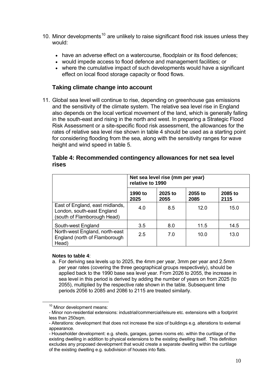- [10](#page-12-0). Minor developments<sup>10</sup> are unlikely to raise significant flood risk issues unless they would:
	- have an adverse effect on a watercourse, floodplain or its flood defences;
	- would impede access to flood defence and management facilities; or
	- where the cumulative impact of such developments would have a significant effect on local flood storage capacity or flood flows.

### **Taking climate change into account**

11. Global sea level will continue to rise, depending on greenhouse gas emissions and the sensitivity of the climate system. The relative sea level rise in England also depends on the local vertical movement of the land, which is generally falling in the south-east and rising in the north and west. In preparing a Strategic Flood Risk Assessment or a site-specific flood risk assessment, the allowances for the rates of relative sea level rise shown in table 4 should be used as a starting point for considering flooding from the sea, along with the sensitivity ranges for wave height and wind speed in table 5.

|                                                                                              | Net sea level rise (mm per year)<br>relative to 1990 |                 |                 |                 |
|----------------------------------------------------------------------------------------------|------------------------------------------------------|-----------------|-----------------|-----------------|
|                                                                                              | 1990 to<br>2025                                      | 2025 to<br>2055 | 2055 to<br>2085 | 2085 to<br>2115 |
| East of England, east midlands,<br>London, south-east England<br>(south of Flamborough Head) | 4.0                                                  | 8.5             | 12.0            | 15.0            |
| South-west England                                                                           | 3.5                                                  | 8.0             | 11.5            | 14.5            |
| North-west England, north-east<br>England (north of Flamborough<br>Head)                     | 2.5                                                  | 7.0             | 10.0            | 13.0            |

#### **Table 4: Recommended contingency allowances for net sea level rises**

#### **Notes to table 4**:

a. For deriving sea levels up to 2025, the 4mm per year, 3mm per year and 2.5mm per year rates (covering the three geographical groups respectively), should be applied back to the 1990 base sea level year. From 2026 to 2055, the increase in sea level in this period is derived by adding the number of years on from 2025 (to 2055), multiplied by the respective rate shown in the table. Subsequent time periods 2056 to 2085 and 2086 to 2115 are treated similarly.

<sup>&</sup>lt;sup>10</sup> Minor development means:

<span id="page-12-0"></span><sup>-</sup> Minor non-residential extensions: industrial/commercial/leisure etc. extensions with a footprint less than 250sqm.

<sup>-</sup> Alterations: development that does not increase the size of buildings e.g. alterations to external appearance.

<sup>-</sup> Householder development: e.g. sheds, garages, games rooms etc. within the curtilage of the existing dwelling in addition to physical extensions to the existing dwelling itself. This definition excludes any proposed development that would create a separate dwelling within the curtilage of the existing dwelling e.g. subdivision of houses into flats.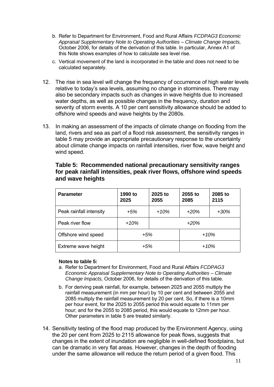- b. Refer to Department for Environment, Food and Rural Affairs *FCDPAG3 Economic Appraisal Supplementary Note to Operating Authorities – Climate Change Impacts,*  October 2006, for details of the derivation of this table. In particular, Annex A1 of this Note shows examples of how to calculate sea level rise.
- c. Vertical movement of the land is incorporated in the table and does not need to be calculated separately.
- 12. The rise in sea level will change the frequency of occurrence of high water levels relative to today's sea levels, assuming no change in storminess. There may also be secondary impacts such as changes in wave heights due to increased water depths, as well as possible changes in the frequency, duration and severity of storm events. A 10 per cent sensitivity allowance should be added to offshore wind speeds and wave heights by the 2080s.
- 13. In making an assessment of the impacts of climate change on flooding from the land, rivers and sea as part of a flood risk assessment, the sensitivity ranges in table 5 may provide an appropriate precautionary response to the uncertainty about climate change impacts on rainfall intensities, river flow, wave height and wind speed.

| <b>Parameter</b>        | 1990 to<br>2025 | 2025 to<br>2055 | 2055 to<br>2085 | 2085 to<br>2115 |  |
|-------------------------|-----------------|-----------------|-----------------|-----------------|--|
| Peak rainfall intensity | $+5%$           | $+10%$          | $+20%$          | $+30%$          |  |
| Peak river flow         | $+10%$          |                 | $+20%$          |                 |  |
| Offshore wind speed     | +5%             |                 | $+10%$          |                 |  |
| Extreme wave height     | $+5%$           |                 | $+10%$          |                 |  |

**Table 5: Recommended national precautionary sensitivity ranges for peak rainfall intensities, peak river flows, offshore wind speeds and wave heights**

#### **Notes to table 5:**

- a. Refer to Department for Environment, Food and Rural Affairs *FCDPAG3 Economic Appraisal Supplementary Note to Operating Authorities – Climate Change Impacts,* October 2006, for details of the derivation of this table.
- b. For deriving peak rainfall, for example, between 2025 and 2055 multiply the rainfall measurement (in mm per hour) by 10 per cent and between 2055 and 2085 multiply the rainfall measurement by 20 per cent. So, if there is a 10mm per hour event, for the 2025 to 2055 period this would equate to 11mm per hour; and for the 2055 to 2085 period, this would equate to 12mm per hour. Other parameters in table 5 are treated similarly.
- 14. Sensitivity testing of the flood map produced by the Environment Agency, using the 20 per cent from 2025 to 2115 allowance for peak flows, suggests that changes in the extent of inundation are negligible in well-defined floodplains, but can be dramatic in very flat areas. However, changes in the depth of flooding under the same allowance will reduce the return period of a given flood. This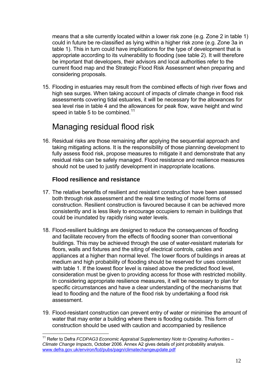means that a site currently located within a lower risk zone (e.g. Zone 2 in table 1) could in future be re-classified as lying within a higher risk zone (e.g. Zone 3a in table 1). This in turn could have implications for the type of development that is appropriate according to its vulnerability to flooding (see table 2). It will therefore be important that developers, their advisors and local authorities refer to the current flood map and the Strategic Flood Risk Assessment when preparing and considering proposals.

15. Flooding in estuaries may result from the combined effects of high river flows and high sea surges. When taking account of impacts of climate change in flood risk assessments covering tidal estuaries, it will be necessary for the allowances for sea level rise in table 4 and the allowances for peak flow, wave height and wind speed in table 5 to be combined.<sup>[11](#page-14-0)</sup>

# Managing residual flood risk

16. Residual risks are those remaining after applying the sequential approach and taking mitigating actions. It is the responsibility of those planning development to fully assess flood risk, propose measures to mitigate it and demonstrate that any residual risks can be safely managed. Flood resistance and resilience measures should not be used to justify development in inappropriate locations.

### **Flood resilience and resistance**

 $\overline{a}$ 

- 17. The relative benefits of resilient and resistant construction have been assessed both through risk assessment and the real time testing of model forms of construction. Resilient construction is favoured because it can be achieved more consistently and is less likely to encourage occupiers to remain in buildings that could be inundated by rapidly rising water levels.
- 18. Flood-resilient buildings are designed to reduce the consequences of flooding and facilitate recovery from the effects of flooding sooner than conventional buildings. This may be achieved through the use of water-resistant materials for floors, walls and fixtures and the siting of electrical controls, cables and appliances at a higher than normal level. The lower floors of buildings in areas at medium and high probability of flooding should be reserved for uses consistent with table 1. If the lowest floor level is raised above the predicted flood level, consideration must be given to providing access for those with restricted mobility. In considering appropriate resilience measures, it will be necessary to plan for specific circumstances and have a clear understanding of the mechanisms that lead to flooding and the nature of the flood risk by undertaking a flood risk assessment.
- 19. Flood-resistant construction can prevent entry of water or minimise the amount of water that may enter a building where there is flooding outside. This form of construction should be used with caution and accompanied by resilience

<span id="page-14-0"></span><sup>&</sup>lt;sup>11</sup> Refer to Defra *FCDPAG3 Economic Appraisal Supplementary Note to Operating Authorities – Climate Change Impacts*, October 2006. Annex A2 gives details of joint probability analysis. [www.defra.gov.uk/environ/fcd/pubs/pagn/climatechangeupdate.pdf](http://www.defra.gov.uk/environ/fcd/pubs/pagn/climatechangeupdate.pdf)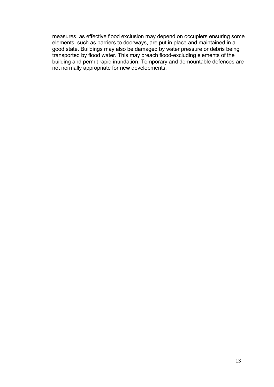measures, as effective flood exclusion may depend on occupiers ensuring some elements, such as barriers to doorways, are put in place and maintained in a good state. Buildings may also be damaged by water pressure or debris being transported by flood water. This may breach flood-excluding elements of the building and permit rapid inundation. Temporary and demountable defences are not normally appropriate for new developments.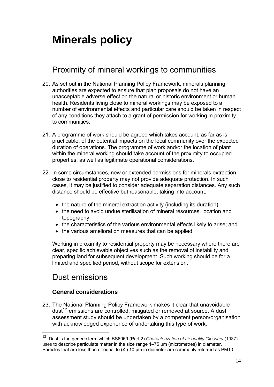# **Minerals policy**

# Proximity of mineral workings to communities

- 20. As set out in the National Planning Policy Framework, minerals planning authorities are expected to ensure that plan proposals do not have an unacceptable adverse effect on the natural or historic environment or human health. Residents living close to mineral workings may be exposed to a number of environmental effects and particular care should be taken in respect of any conditions they attach to a grant of permission for working in proximity to communities.
- 21. A programme of work should be agreed which takes account, as far as is practicable, of the potential impacts on the local community over the expected duration of operations. The programme of work and/or the location of plant within the mineral working should take account of the proximity to occupied properties, as well as legitimate operational considerations.
- 22. In some circumstances, new or extended permissions for minerals extraction close to residential property may not provide adequate protection. In such cases, it may be justified to consider adequate separation distances. Any such distance should be effective but reasonable, taking into account:
	- the nature of the mineral extraction activity (including its duration);
	- the need to avoid undue sterilisation of mineral resources, location and topography;
	- the characteristics of the various environmental effects likely to arise; and
	- the various amelioration measures that can be applied.

Working in proximity to residential property may be necessary where there are clear, specific achievable objectives such as the removal of instability and preparing land for subsequent development. Such working should be for a limited and specified period, without scope for extension.

## Dust emissions

 $\overline{a}$ 

### **General considerations**

23. The National Planning Policy Framework makes it clear that unavoidable dust<sup>[12](#page-16-0)</sup> emissions are controlled, mitigated or removed at source. A dust assessment study should be undertaken by a competent person/organisation with acknowledged experience of undertaking this type of work.

<span id="page-16-0"></span><sup>12</sup> Dust is the generic term which BS6069 (Part 2) *Characterization of air quality Glossary* (1987) uses to describe particulate matter in the size range 1–75 μm (micrometres) in diameter. Particles that are less than or equal to  $(≤)$  10 µm in diameter are commonly referred as PM10.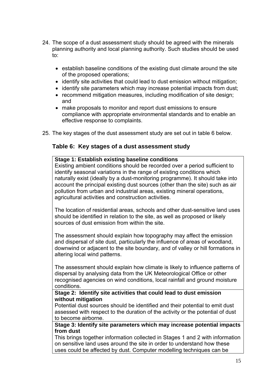- 24. The scope of a dust assessment study should be agreed with the minerals planning authority and local planning authority. Such studies should be used to:
	- establish baseline conditions of the existing dust climate around the site of the proposed operations;
	- identify site activities that could lead to dust emission without mitigation;
	- identify site parameters which may increase potential impacts from dust;
	- recommend mitigation measures, including modification of site design; and
	- make proposals to monitor and report dust emissions to ensure compliance with appropriate environmental standards and to enable an effective response to complaints.
- 25. The key stages of the dust assessment study are set out in table 6 below.

#### **Table 6: Key stages of a dust assessment study**

#### **Stage 1: Establish existing baseline conditions**  Existing ambient conditions should be recorded over a period sufficient to identify seasonal variations in the range of existing conditions which naturally exist (ideally by a dust-monitoring programme). It should take into account the principal existing dust sources (other than the site) such as air pollution from urban and industrial areas, existing mineral operations, agricultural activities and construction activities.

The location of residential areas, schools and other dust-sensitive land uses should be identified in relation to the site, as well as proposed or likely sources of dust emission from within the site.

The assessment should explain how topography may affect the emission and dispersal of site dust, particularly the influence of areas of woodland, downwind or adjacent to the site boundary, and of valley or hill formations in altering local wind patterns.

The assessment should explain how climate is likely to influence patterns of dispersal by analysing data from the UK Meteorological Office or other recognised agencies on wind conditions, local rainfall and ground moisture conditions.

#### **Stage 2: Identify site activities that could lead to dust emission without mitigation**

Potential dust sources should be identified and their potential to emit dust assessed with respect to the duration of the activity or the potential of dust to become airborne.

**Stage 3: Identify site parameters which may increase potential impacts from dust** 

This brings together information collected in Stages 1 and 2 with information on sensitive land uses around the site in order to understand how these uses could be affected by dust. Computer modelling techniques can be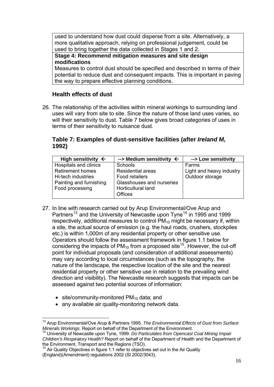used to understand how dust could disperse from a site. Alternatively, a more qualitative approach, relying on professional judgement, could be used to bring together the data collected in Stages 1 and 2.

**Stage 4: Recommend mitigation measures and site design modifications** 

Measures to control dust should be specified and described in terms of their potential to reduce dust and consequent impacts. This is important in paving the way to prepare effective planning conditions.

### **Health effects of dust**

26. The relationship of the activities within mineral workings to surrounding land uses will vary from site to site. Since the nature of those land uses varies, so will their sensitivity to dust. Table 7 below gives broad categories of uses in terms of their sensitivity to nuisance dust.

### **Table 7: Examples of dust-sensitive facilities (after** *Ireland M,* **1992)**

| High sensitivity $\leftarrow$ | --> Medium sensitivity $\leftarrow$ | --> Low sensitivity      |
|-------------------------------|-------------------------------------|--------------------------|
| Hospitals and clinics         | <b>Schools</b>                      | Farms                    |
| <b>Retirement homes</b>       | <b>Residential areas</b>            | Light and heavy industry |
| Hi-tech industries            | Food retailers                      | Outdoor storage          |
| Painting and furnishing       | Glasshouses and nurseries           |                          |
| Food processing               | <b>Horticultural land</b>           |                          |
|                               | <b>Offices</b>                      |                          |

- 27. In line with research carried out by Arup Environmental/Ove Arup and Partners<sup>[13](#page-18-0)</sup> and the University of Newcastle upon Tyne<sup>[14](#page-18-1)</sup> in 1995 and 1999 respectively, additional measures to control  $PM_{10}$  might be necessary if, within a site, the actual source of emission (e.g. the haul roads, crushers, stockpiles etc.) is within 1,000m of any residential property or other sensitive use. Operators should follow the assessment framework in figure 1.1 below for considering the impacts of  $PM_{10}$  from a proposed site<sup>[15](#page-18-2)</sup>. However, the cut-off point for individual proposals (and consideration of additional assessments) may vary according to local circumstances (such as the topography, the nature of the landscape, the respective location of the site and the nearest residential property or other sensitive use in relation to the prevailing wind direction and visibility). The Newcastle research suggests that impacts can be assessed against two potential sources of information:
	- site/community-monitored  $PM_{10}$  data; and

 $\overline{a}$ 

• any available air quality-monitoring network data.

<span id="page-18-0"></span><sup>13</sup> Arup Environmental/Ove Arup & Partners 1995. *The Environmental Effects of Dust from Surface Minerals Workings*. Report on behalf of the Department of the Environment.

<span id="page-18-1"></span><sup>14</sup> University of Newcastle upon Tyne, 1999. *Do Particulates from Opencast Coal Mining Impair Children's Respiratory Health?* Report on behalf of the Department of Health and the Department of the Environment, Transport and the Regions (TSO).

<span id="page-18-2"></span>Air Quality Objectives in figure 1.1 refer to objectives set out in the Air Quality (England)(Amendment) regulations 2002 (SI 2002/3043).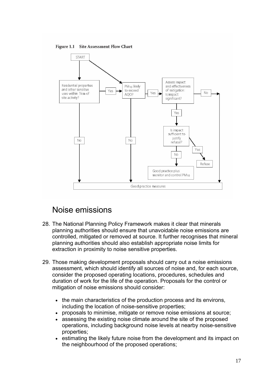Figure 1.1 Site Assessment Flow Chart



# Noise emissions

- 28. The National Planning Policy Framework makes it clear that minerals planning authorities should ensure that unavoidable noise emissions are controlled, mitigated or removed at source. It further recognises that mineral planning authorities should also establish appropriate noise limits for extraction in proximity to noise sensitive properties.
- 29. Those making development proposals should carry out a noise emissions assessment, which should identify all sources of noise and, for each source, consider the proposed operating locations, procedures, schedules and duration of work for the life of the operation. Proposals for the control or mitigation of noise emissions should consider:
	- the main characteristics of the production process and its environs. including the location of noise-sensitive properties;
	- proposals to minimise, mitigate or remove noise emissions at source;
	- assessing the existing noise climate around the site of the proposed operations, including background noise levels at nearby noise-sensitive properties;
	- estimating the likely future noise from the development and its impact on the neighbourhood of the proposed operations;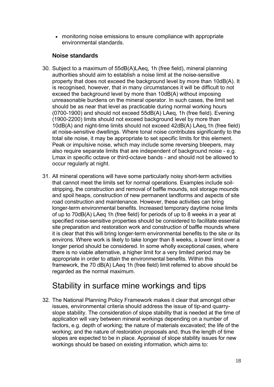• monitoring noise emissions to ensure compliance with appropriate environmental standards.

### **Noise standards**

- 30. Subject to a maximum of 55dB(A)LAeq, 1h (free field), mineral planning authorities should aim to establish a noise limit at the noise-sensitive property that does not exceed the background level by more than 10dB(A). It is recognised, however, that in many circumstances it will be difficult to not exceed the background level by more than 10dB(A) without imposing unreasonable burdens on the mineral operator. In such cases, the limit set should be as near that level as practicable during normal working hours (0700-1900) and should not exceed 55dB(A) LAeq, 1h (free field). Evening (1900-2200) limits should not exceed background level by more than 10dB(A) and night-time limits should not exceed 42dB(A) LAeq,1h (free field) at noise-sensitive dwellings. Where tonal noise contributes significantly to the total site noise, it may be appropriate to set specific limits for this element. Peak or impulsive noise, which may include some reversing bleepers, may also require separate limits that are independent of background noise - e.g. Lmax in specific octave or third-octave bands - and should not be allowed to occur regularly at night.
- 31. All mineral operations will have some particularly noisy short-term activities that cannot meet the limits set for normal operations. Examples include soilstripping, the construction and removal of baffle mounds, soil storage mounds and spoil heaps, construction of new permanent landforms and aspects of site road construction and maintenance. However, these activities can bring longer-term environmental benefits. Increased temporary daytime noise limits of up to 70dB(A) LAeq 1h (free field) for periods of up to 8 weeks in a year at specified noise-sensitive properties should be considered to facilitate essential site preparation and restoration work and construction of baffle mounds where it is clear that this will bring longer-term environmental benefits to the site or its environs. Where work is likely to take longer than 8 weeks, a lower limit over a longer period should be considered. In some wholly exceptional cases, where there is no viable alternative, a higher limit for a very limited period may be appropriate in order to attain the environmental benefits. Within this framework, the 70 dB(A) LAeq 1h (free field) limit referred to above should be regarded as the normal maximum.

# Stability in surface mine workings and tips

32. The National Planning Policy Framework makes it clear that amongst other issues, environmental criteria should address the issue of tip-and quarryslope stability. The consideration of slope stability that is needed at the time of application will vary between mineral workings depending on a number of factors, e.g. depth of working; the nature of materials excavated; the life of the working; and the nature of restoration proposals and, thus the length of time slopes are expected to be in place. Appraisal of slope stability issues for new workings should be based on existing information, which aims to: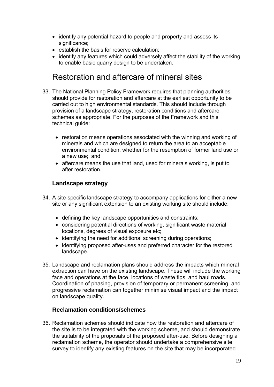- identify any potential hazard to people and property and assess its significance;
- establish the basis for reserve calculation;
- identify any features which could adversely affect the stability of the working to enable basic quarry design to be undertaken.

# Restoration and aftercare of mineral sites

- 33. The National Planning Policy Framework requires that planning authorities should provide for restoration and aftercare at the earliest opportunity to be carried out to high environmental standards. This should include through provision of a landscape strategy, restoration conditions and aftercare schemes as appropriate. For the purposes of the Framework and this technical quide:
	- restoration means operations associated with the winning and working of minerals and which are designed to return the area to an acceptable environmental condition, whether for the resumption of former land use or a new use; and
	- aftercare means the use that land, used for minerals working, is put to after restoration.

### **Landscape strategy**

- 34. A site-specific landscape strategy to accompany applications for either a new site or any significant extension to an existing working site should include:
	- defining the key landscape opportunities and constraints;
	- considering potential directions of working, significant waste material locations, degrees of visual exposure etc;
	- identifying the need for additional screening during operations;
	- identifying proposed after-uses and preferred character for the restored landscape.
- 35. Landscape and reclamation plans should address the impacts which mineral extraction can have on the existing landscape. These will include the working face and operations at the face, locations of waste tips, and haul roads. Coordination of phasing, provision of temporary or permanent screening, and progressive reclamation can together minimise visual impact and the impact on landscape quality.

### **Reclamation conditions/schemes**

36. Reclamation schemes should indicate how the restoration and aftercare of the site is to be integrated with the working scheme, and should demonstrate the suitability of the proposals of the proposed after-use. Before designing a reclamation scheme, the operator should undertake a comprehensive site survey to identify any existing features on the site that may be incorporated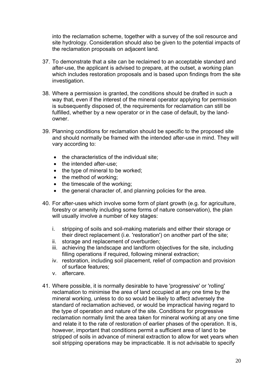into the reclamation scheme, together with a survey of the soil resource and site hydrology. Consideration should also be given to the potential impacts of the reclamation proposals on adjacent land.

- 37. To demonstrate that a site can be reclaimed to an acceptable standard and after-use, the applicant is advised to prepare, at the outset, a working plan which includes restoration proposals and is based upon findings from the site investigation.
- 38. Where a permission is granted, the conditions should be drafted in such a way that, even if the interest of the mineral operator applying for permission is subsequently disposed of, the requirements for reclamation can still be fulfilled, whether by a new operator or in the case of default, by the landowner.
- 39. Planning conditions for reclamation should be specific to the proposed site and should normally be framed with the intended after-use in mind. They will vary according to:
	- the characteristics of the individual site;
	- the intended after-use:
	- the type of mineral to be worked;
	- the method of working;
	- the timescale of the working:
	- the general character of, and planning policies for the area.
- 40. For after-uses which involve some form of plant growth (e.g. for agriculture, forestry or amenity including some forms of nature conservation), the plan will usually involve a number of key stages:
	- i. stripping of soils and soil-making materials and either their storage or their direct replacement (i.e. 'restoration') on another part of the site;
	- ii. storage and replacement of overburden;
	- iii. achieving the landscape and landform objectives for the site, including filling operations if required, following mineral extraction;
	- iv. restoration, including soil placement, relief of compaction and provision of surface features;
	- v. aftercare.
- 41. Where possible, it is normally desirable to have 'progressive' or 'rolling' reclamation to minimise the area of land occupied at any one time by the mineral working, unless to do so would be likely to affect adversely the standard of reclamation achieved, or would be impractical having regard to the type of operation and nature of the site. Conditions for progressive reclamation normally limit the area taken for mineral working at any one time and relate it to the rate of restoration of earlier phases of the operation. It is, however, important that conditions permit a sufficient area of land to be stripped of soils in advance of mineral extraction to allow for wet years when soil stripping operations may be impracticable. It is not advisable to specify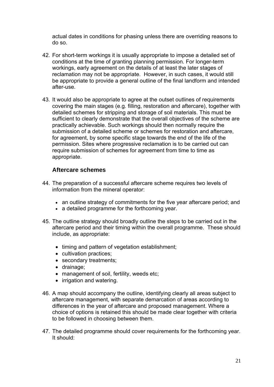actual dates in conditions for phasing unless there are overriding reasons to do so.

- 42. For short-term workings it is usually appropriate to impose a detailed set of conditions at the time of granting planning permission. For longer-term workings, early agreement on the details of at least the later stages of reclamation may not be appropriate. However, in such cases, it would still be appropriate to provide a general outline of the final landform and intended after-use.
- 43. It would also be appropriate to agree at the outset outlines of requirements covering the main stages (e.g. filling, restoration and aftercare), together with detailed schemes for stripping and storage of soil materials. This must be sufficient to clearly demonstrate that the overall objectives of the scheme are practically achievable. Such workings should then normally require the submission of a detailed scheme or schemes for restoration and aftercare, for agreement, by some specific stage towards the end of the life of the permission. Sites where progressive reclamation is to be carried out can require submission of schemes for agreement from time to time as appropriate.

#### **Aftercare schemes**

- 44. The preparation of a successful aftercare scheme requires two levels of information from the mineral operator:
	- an outline strategy of commitments for the five year aftercare period; and
	- a detailed programme for the forthcoming year.
- 45. The outline strategy should broadly outline the steps to be carried out in the aftercare period and their timing within the overall programme. These should include, as appropriate:
	- timing and pattern of vegetation establishment;
	- cultivation practices;
	- secondary treatments:
	- drainage;
	- management of soil, fertility, weeds etc;
	- irrigation and watering.
- 46. A map should accompany the outline, identifying clearly all areas subject to aftercare management, with separate demarcation of areas according to differences in the year of aftercare and proposed management. Where a choice of options is retained this should be made clear together with criteria to be followed in choosing between them.
- 47. The detailed programme should cover requirements for the forthcoming year. It should: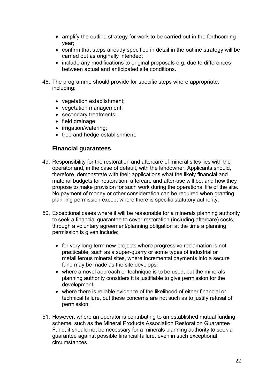- amplify the outline strategy for work to be carried out in the forthcoming year;
- confirm that steps already specified in detail in the outline strategy will be carried out as originally intended;
- include any modifications to original proposals e.g. due to differences between actual and anticipated site conditions.
- 48. The programme should provide for specific steps where appropriate, including:
	- vegetation establishment;
	- vegetation management;
	- secondary treatments;
	- field drainage;
	- irrigation/watering;
	- tree and hedge establishment.

#### **Financial guarantees**

- 49. Responsibility for the restoration and aftercare of mineral sites lies with the operator and, in the case of default, with the landowner. Applicants should, therefore, demonstrate with their applications what the likely financial and material budgets for restoration, aftercare and after-use will be, and how they propose to make provision for such work during the operational life of the site. No payment of money or other consideration can be required when granting planning permission except where there is specific statutory authority.
- 50. Exceptional cases where it will be reasonable for a minerals planning authority to seek a financial guarantee to cover restoration (including aftercare) costs, through a voluntary agreement/planning obligation at the time a planning permission is given include:
	- for very long-term new projects where progressive reclamation is not practicable, such as a super-quarry or some types of industrial or metalliferous mineral sites, where incremental payments into a secure fund may be made as the site develops;
	- where a novel approach or technique is to be used, but the minerals planning authority considers it is justifiable to give permission for the development;
	- where there is reliable evidence of the likelihood of either financial or technical failure, but these concerns are not such as to justify refusal of permission.
- 51. However, where an operator is contributing to an established mutual funding scheme, such as the Mineral Products Association Restoration Guarantee Fund, it should not be necessary for a minerals planning authority to seek a guarantee against possible financial failure, even in such exceptional circumstances.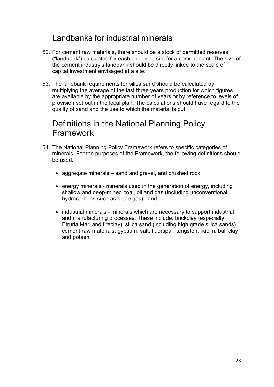# Landbanks for industrial minerals

- 52. For cement raw materials, there should be a stock of permitted reserves ("landbank") calculated for each proposed site for a cement plant. The size of the cement industry's landbank should be directly linked to the scale of capital investment envisaged at a site.
- 53. The landbank requirements for silica sand should be calculated by multiplying the average of the last three years production for which figures are available by the appropriate number of years or by reference to levels of provision set out in the local plan. The calculations should have regard to the quality of sand and the use to which the material is put.

# Definitions in the National Planning Policy Framework

- 54. The National Planning Policy Framework refers to specific categories of minerals. For the purposes of the Framework, the following definitions should be used:
	- aggregate minerals sand and gravel, and crushed rock;
	- energy minerals minerals used in the generation of energy, including shallow and deep-mined coal, oil and gas (including unconventional hydrocarbons such as shale gas); and
	- industrial minerals minerals which are necessary to support industrial and manufacturing processes. These include: brickclay (especially Etruria Marl and fireclay), silica sand (including high grade silica sands), cement raw materials, gypsum, salt, fluorspar, tungsten, kaolin, ball clay and potash.